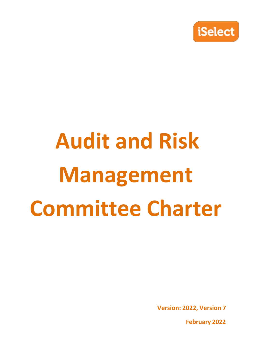

# **Audit and Risk Management Committee Charter**

**Version: 2022, Version 7**

**February 2022**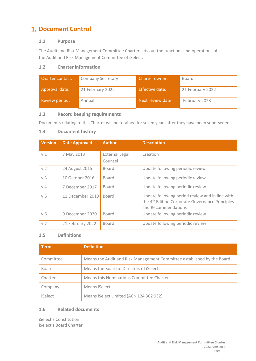# **1. Document Control**

## **1.1 Purpose**

The Audit and Risk Management Committee Charter sets out the functions and operations of the Audit and Risk Management Committee of iSelect.

## **1.2 Charter information**

| <b>Charter contact:</b> | <b>Company Secretary</b> | Charter owner:    | Board            |
|-------------------------|--------------------------|-------------------|------------------|
| Approval date:          | 21 February 2022         | Effective date:   | 21 February 2022 |
| Review period:          | Annual                   | Next review date: | February 2023    |

## **1.3 Record keeping requirements**

Documents relating to this Charter will be retained for seven years after they have been superseded.

## **1.4 Document history**

| <b>Version</b> | <b>Date Approved</b> | <b>Author</b>                    | <b>Description</b>                                                                                                                    |
|----------------|----------------------|----------------------------------|---------------------------------------------------------------------------------------------------------------------------------------|
| V.1            | 7 May 2013           | <b>External Legal</b><br>Counsel | Creation                                                                                                                              |
| v.2            | 24 August 2015       | Board                            | Update following periodic review                                                                                                      |
| v.3            | 10 October 2016      | <b>Board</b>                     | Update following periodic review                                                                                                      |
| V.4            | 7 December 2017      | Board                            | Update following periodic review                                                                                                      |
| v.5            | 11 December 2019     | Board                            | Update following period review and in line with<br>the 4 <sup>th</sup> Edition Corporate Governance Principles<br>and Recommendations |
| V.6            | 9 December 2020      | Board                            | Update following periodic review                                                                                                      |
| V.7            | 21 February 2022     | Board                            | Update following periodic review                                                                                                      |

## **1.5 Definitions**

| <b>Term</b> | <b>Definition</b>                                                       |
|-------------|-------------------------------------------------------------------------|
| Committee   | Means the Audit and Risk Management Committee established by the Board. |
| Board       | Means the Board of Directors of iSelect.                                |
| Charter     | Means this Nominations Committee Charter.                               |
| Company     | Means iSelect.                                                          |
| iSelect     | Means iSelect Limited (ACN 124 302 932).                                |

## **1.6 Related documents**

iSelect's Constitution iSelect's Board Charter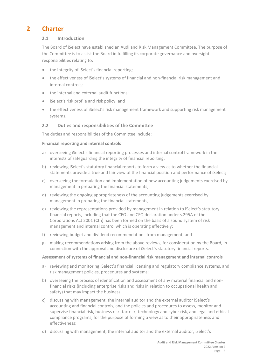## **2 Charter**

## **2.1 Introduction**

The Board of iSelect have established an Audi and Risk Management Committee. The purpose of the Committee is to assist the Board in fulfilling its corporate governance and oversight responsibilities relating to:

- the integrity of iSelect's financial reporting;
- the effectiveness of iSelect's systems of financial and non‐financial risk management and internal controls;
- the internal and external audit functions;
- iSelect's risk profile and risk policy; and
- the effectiveness of iSelect's risk management framework and supporting risk management systems.

## **2.2 Duties and responsibilities of the Committee**

The duties and responsibilities of the Committee include:

#### **Financial reporting and internal controls**

- a) overseeing iSelect's financial reporting processes and internal control framework in the interests of safeguarding the integrity of financial reporting;
- b) reviewing iSelect's statutory financial reports to form a view as to whether the financial statements provide a true and fair view of the financial position and performance of iSelect;
- c) overseeing the formulation and implementation of new accounting judgements exercised by management in preparing the financial statements;
- d) reviewing the ongoing appropriateness of the accounting judgements exercised by management in preparing the financial statements;
- e) reviewing the representations provided by management in relation to iSelect's statutory financial reports, including that the CEO and CFO declaration under s.295A of the Corporations Act 2001 (Cth) has been formed on the basis of a sound system of risk management and internal control which is operating effectively;
- f) reviewing budget and dividend recommendations from management; and
- g) making recommendations arising from the above reviews, for consideration by the Board, in connection with the approval and disclosure of iSelect's statutory financial reports.

## **Assessment of systems of financial and non‐financial risk management and internal controls**

- a) reviewing and monitoring iSelect's financial licensing and regulatory compliance systems, and risk management policies, procedures and systems;
- b) overseeing the process of identification and assessment of any material financial and nonfinancial risks (including enterprise risks and risks in relation to occupational health and safety) that may impact the business;
- c) discussing with management, the internal auditor and the external auditor iSelect's accounting and financial controls, and the policies and procedures to assess, monitor and supervise financial risk, business risk, tax risk, technology and cyber risk, and legal and ethical compliance programs, for the purpose of forming a view as to their appropriateness and effectiveness;
- d) discussing with management, the internal auditor and the external auditor, iSelect's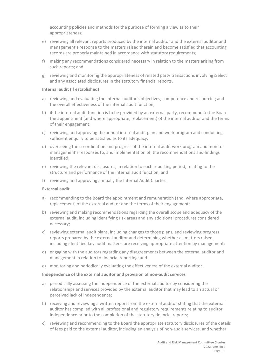accounting policies and methods for the purpose of forming a view as to their appropriateness;

- e) reviewing all relevant reports produced by the internal auditor and the external auditor and management's response to the matters raised therein and become satisfied that accounting records are properly maintained in accordance with statutory requirements;
- f) making any recommendations considered necessary in relation to the matters arising from such reports; and
- g) reviewing and monitoring the appropriateness of related party transactions involving iSelect and any associated disclosures in the statutory financial reports.

## **Internal audit (if established)**

- a) reviewing and evaluating the internal auditor's objectives, competence and resourcing and the overall effectiveness of the internal audit function;
- b) if the internal audit function is to be provided by an external party, recommend to the Board the appointment (and where appropriate, replacement) of the internal auditor and the terms of their engagement;
- c) reviewing and approving the annual internal audit plan and work program and conducting sufficient enquiry to be satisfied as to its adequacy;
- d) overseeing the co‐ordination and progress of the internal audit work program and monitor management's responses to, and implementation of, the recommendations and findings identified;
- e) reviewing the relevant disclosures, in relation to each reporting period, relating to the structure and performance of the internal audit function; and
- f) reviewing and approving annually the Internal Audit Charter.

#### **External audit**

- a) recommending to the Board the appointment and remuneration (and, where appropriate, replacement) of the external auditor and the terms of their engagement;
- b) reviewing and making recommendations regarding the overall scope and adequacy of the external audit, including identifying risk areas and any additional procedures considered necessary;
- c) reviewing external audit plans, including changes to those plans, and reviewing progress reports prepared by the external auditor and determining whether all matters raised, including identified key audit matters, are receiving appropriate attention by management;
- d) engaging with the auditors regarding any disagreements between the external auditor and management in relation to financial reporting; and
- e) monitoring and periodically evaluating the effectiveness of the external auditor.

#### **Independence of the external auditor and provision of non‐audit services**

- a) periodically assessing the independence of the external auditor by considering the relationships and services provided by the external auditor that may lead to an actual or perceived lack of independence;
- b) receiving and reviewing a written report from the external auditor stating that the external auditor has complied with all professional and regulatory requirements relating to auditor independence prior to the completion of the statutory financial reports;
- c) reviewing and recommending to the Board the appropriate statutory disclosures of the details of fees paid to the external auditor, including an analysis of non-audit services, and whether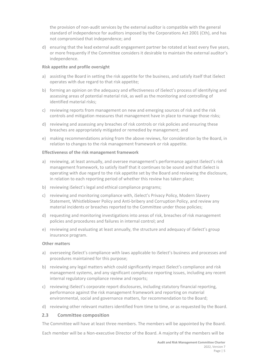the provision of non‐audit services by the external auditor is compatible with the general standard of independence for auditors imposed by the Corporations Act 2001 (Cth), and has not compromised that independence; and

d) ensuring that the lead external audit engagement partner be rotated at least every five years, or more frequently if the Committee considers it desirable to maintain the external auditor's independence.

#### **Risk appetite and profile oversight**

- a) assisting the Board in setting the risk appetite for the business, and satisfy itself that iSelect operates with due regard to that risk appetite;
- b) forming an opinion on the adequacy and effectiveness of iSelect's process of identifying and assessing areas of potential material risk, as well as the monitoring and controlling of identified material risks;
- c) reviewing reports from management on new and emerging sources of risk and the risk controls and mitigation measures that management have in place to manage those risks;
- d) reviewing and assessing any breaches of risk controls or risk policies and ensuring these breaches are appropriately mitigated or remedied by management; and
- e) making recommendations arising from the above reviews, for consideration by the Board, in relation to changes to the risk management framework or risk appetite.

#### **Effectiveness of the risk management framework**

- a) reviewing, at least annually, and oversee management's performance against iSelect's risk management framework, to satisfy itself that it continues to be sound and that iSelect is operating with due regard to the risk appetite set by the Board and reviewing the disclosure, in relation to each reporting period of whether this review has taken place;
- b) reviewing iSelect's legal and ethical compliance programs;
- c) reviewing and monitoring compliance with, iSelect's Privacy Policy, Modern Slavery Statement, Whistleblower Policy and Anti‐bribery and Corruption Policy, and review any material incidents or breaches reported to the Committee under those policies;
- d) requesting and monitoring investigations into areas of risk, breaches of risk management policies and procedures and failures in internal control; and
- e) reviewing and evaluating at least annually, the structure and adequacy of iSelect's group insurance program.

#### **Other matters**

- a) overseeing iSelect's compliance with laws applicable to iSelect's business and processes and procedures maintained for this purpose;
- b) reviewing any legal matters which could significantly impact iSelect's compliance and risk management systems, and any significant compliance reporting issues, including any recent internal regulatory compliance review and reports;
- c) reviewing iSelect's corporate report disclosures, including statutory financial reporting, performance against the risk management framework and reporting on material environmental, social and governance matters, for recommendation to the Board;
- d) reviewing other relevant matters identified from time to time, or as requested by the Board.

#### **2.3 Committee composition**

The Committee will have at least three members. The members will be appointed by the Board.

Each member will be a Non‐executive Director of the Board. A majority of the members will be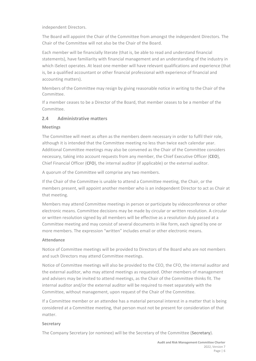independent Directors.

The Board will appoint the Chair of the Committee from amongst the independent Directors. The Chair of the Committee will not also be the Chair of the Board.

Each member will be financially literate (that is, be able to read and understand financial statements), have familiarity with financial management and an understanding of the industry in which iSelect operates. At least one member will have relevant qualifications and experience (that is, be a qualified accountant or other financial professional with experience of financial and accounting matters).

Members of the Committee may resign by giving reasonable notice in writing to the Chair of the Committee.

If a member ceases to be a Director of the Board, that member ceases to be a member of the Committee.

## **2.4 Administrative matters**

## **Meetings**

The Committee will meet as often as the members deem necessary in order to fulfil their role, although it is intended that the Committee meeting no less than twice each calendar year. Additional Committee meetings may also be convened as the Chair of the Committee considers necessary, taking into account requests from any member, the Chief Executive Officer (**CEO**), Chief Financial Officer (**CFO**), the internal auditor (if applicable) or the external auditor.

A quorum of the Committee will comprise any two members.

If the Chair of the Committee is unable to attend a Committee meeting, the Chair, or the members present, will appoint another member who is an independent Director to act as Chair at that meeting.

Members may attend Committee meetings in person or participate by videoconference or other electronic means. Committee decisions may be made by circular or written resolution. A circular or written resolution signed by all members will be effective as a resolution duly passed at a Committee meeting and may consist of several documents in like form, each signed by one or more members. The expression "written" includes email or other electronic means.

## **Attendance**

Notice of Committee meetings will be provided to Directors of the Board who are not members and such Directors may attend Committee meetings.

Notice of Committee meetings will also be provided to the CEO, the CFO, the internal auditor and the external auditor, who may attend meetings as requested. Other members of management and advisers may be invited to attend meetings, as the Chair of the Committee thinks fit. The internal auditor and/or the external auditor will be required to meet separately with the Committee, without management, upon request of the Chair of the Committee.

If a Committee member or an attendee has a material personal interest in a matter that is being considered at a Committee meeting, that person must not be present for consideration of that matter.

## **Secretary**

The Company Secretary (or nominee) will be the Secretary of the Committee (**Secretary**).